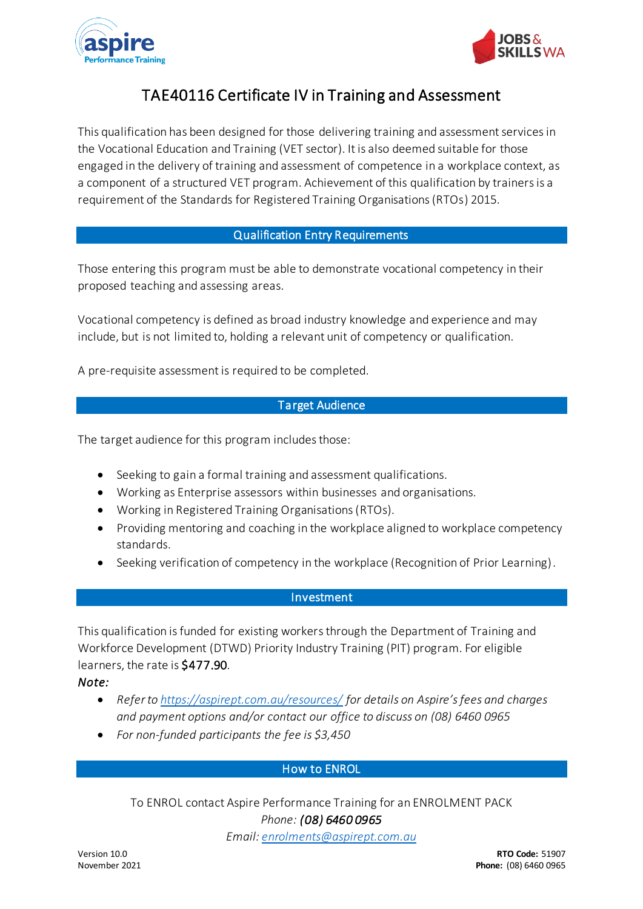



# TAE40116 Certificate IV in Training and Assessment

This qualification has been designed for those delivering training and assessment services in the Vocational Education and Training (VET sector). It is also deemed suitable for those engaged in the delivery of training and assessment of competence in a workplace context, as a component of a structured VET program. Achievement of this qualification by trainers is a requirement of the Standards for Registered Training Organisations (RTOs) 2015.

## Qualification Entry Requirements

Those entering this program must be able to demonstrate vocational competency in their proposed teaching and assessing areas.

Vocational competency is defined as broad industry knowledge and experience and may include, but is not limited to, holding a relevant unit of competency or qualification.

A pre-requisite assessment is required to be completed.

## Target Audience

The target audience for this program includes those:

- Seeking to gain a formal training and assessment qualifications.
- Working as Enterprise assessors within businesses and organisations.
- Working in Registered Training Organisations (RTOs).
- Providing mentoring and coaching in the workplace aligned to workplace competency standards.
- Seeking verification of competency in the workplace (Recognition of Prior Learning).

#### Investment

This qualification is funded for existing workersthrough the Department of Training and Workforce Development (DTWD) Priority Industry Training (PIT) program. For eligible learners, the rate is \$477.90.

*Note:* 

- *Refer to <https://aspirept.com.au/resources/> for details on Aspire's fees and charges and payment options and/or contact our office to discuss on (08) 6460 0965*
- *For non-funded participants the fee is \$3,450*

# How to ENROL

To ENROL contact Aspire Performance Training for an ENROLMENT PACK *Phone: (08) 6460 0965*

*Email[: enrolments@aspirept.com.au](mailto:enrolments@aspirept.com.au)*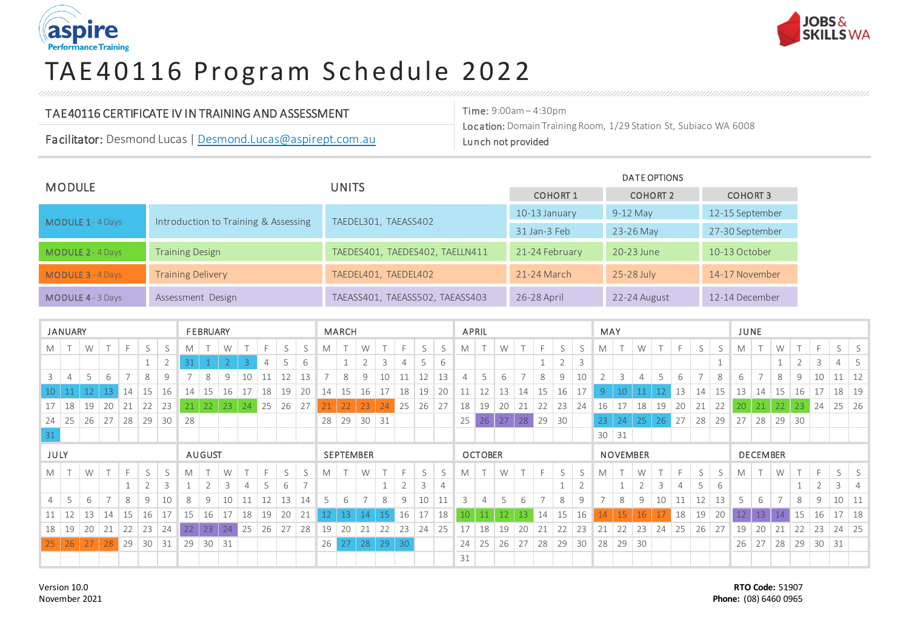



# TAE4 0 1 1 6 Progra m Sc hedule 2022

| TAE40116 CERTIFICATE IV IN TRAINING AND ASSESSMENT                | <b>Time:</b> $9:00am - 4:30pm$                                          |
|-------------------------------------------------------------------|-------------------------------------------------------------------------|
|                                                                   | <b>Location:</b> Domain Training Room, 1/29 Station St, Subiaco WA 6008 |
| <b>Facilitator:</b> Desmond Lucas   Desmond.Lucas@aspirept.com.au | Lunch not provided                                                      |

| <b>MODULE</b>            |                                      |                                 |                 | DATE OPTIONS    |                 |  |  |  |
|--------------------------|--------------------------------------|---------------------------------|-----------------|-----------------|-----------------|--|--|--|
|                          |                                      | UNITS                           | <b>COHORT 1</b> | <b>COHORT 2</b> | <b>COHORT 3</b> |  |  |  |
| <b>MODULE 1 - 4 Days</b> | Introduction to Training & Assessing | TAEDEL301, TAEASS402            | 10-13 January   | $9-12$ May      | 12-15 September |  |  |  |
|                          |                                      |                                 | 31 Jan-3 Feb    | 23-26 May       | 27-30 September |  |  |  |
| <b>MODULE 2 - 4 Days</b> | <b>Training Design</b>               | TAEDES401, TAEDES402, TAELLN411 | 21-24 February  | 20-23 June      | 10-13 October   |  |  |  |
| <b>MODULE 3 - 4 Days</b> | <b>Training Delivery</b>             | TAEDEL401, TAEDEL402            | $21-24$ March   | 25-28 July      | 14-17 November  |  |  |  |
| <b>MODULE 4 - 3 Days</b> | Assessment Design                    | TAEASS401, TAEASS502, TAEASS403 | 26-28 April     | 22-24 August    | 12-14 December  |  |  |  |

|              | <b>JANUARY</b> |    |                 |    |    |     |         | <b>FEBRUARY</b> |     |     |    |              |    |    |         | MARCH        |    |    |    |    |    |                 |    | APRIL |        |          |    |              |  |                 |    | MAY |    |    |    |                |    |    |    | <b>JUNE</b> |         |  |  |  |  |  |  |  |
|--------------|----------------|----|-----------------|----|----|-----|---------|-----------------|-----|-----|----|--------------|----|----|---------|--------------|----|----|----|----|----|-----------------|----|-------|--------|----------|----|--------------|--|-----------------|----|-----|----|----|----|----------------|----|----|----|-------------|---------|--|--|--|--|--|--|--|
| M            |                | W  |                 |    |    |     |         |                 | W   |     |    |              |    | М  |         | W            |    |    |    |    | М  |                 | W  |       |        |          |    |              |  | W               |    |     |    |    | М  |                |    |    |    |             |         |  |  |  |  |  |  |  |
|              |                |    |                 |    |    |     |         |                 |     |     |    |              | h  |    |         |              |    |    |    | b  |    |                 |    |       |        |          | -3 |              |  |                 |    |     |    |    |    |                |    |    |    |             |         |  |  |  |  |  |  |  |
|              |                |    |                 |    |    |     |         | 8               |     |     |    |              |    |    | 8       | 9            | 10 | 11 |    | 13 | 4  |                 | 6  |       | 8      | $\Omega$ | 10 |              |  |                 |    |     |    | 8  |    |                |    | Q  | 10 |             | $\perp$ |  |  |  |  |  |  |  |
|              |                |    |                 |    |    |     | $\pm 4$ | 15              |     |     |    | 19           | 20 | 14 | 15      | 16           |    | 18 | 19 | 20 | 11 |                 |    | 14    |        | 16       |    |              |  |                 |    |     |    |    |    | 14             |    | 16 |    | 18          | -19     |  |  |  |  |  |  |  |
| $17 \mid 18$ |                | 19 |                 |    |    |     | -44     | 22F             | -23 | -24 | 25 | $26 \mid 27$ |    | 21 | 22 23   |              | 24 | 25 | 26 | 27 | 18 | 19              | 20 |       | $22 -$ | 23       | 24 | 16           |  | 18 <sup>1</sup> | 19 | 20  |    | 22 |    | $\sim$ $\perp$ |    |    | 24 | 25          | 26      |  |  |  |  |  |  |  |
| $24 \mid 25$ |                | 26 | 27 <sub>1</sub> | 28 | 29 | -30 | 28      |                 |     |     |    |              |    |    | $28$ 29 | $30 \mid 31$ |    |    |    |    | 25 | 26 <sub>1</sub> | 27 | 28    | 29     | 30       |    |              |  |                 |    |     | 28 | 29 | 27 | 28             | 29 | 30 |    |             |         |  |  |  |  |  |  |  |
| 31           |                |    |                 |    |    |     |         |                 |     |     |    |              |    |    |         |              |    |    |    |    |    |                 |    |       |        |          |    | $30 \mid 31$ |  |                 |    |     |    |    |    |                |    |    |    |             |         |  |  |  |  |  |  |  |

| JULY     |    |    |    |                 |    |    |    | AUGUST |              |    |    |    |    |    |    | <b>SEPTEMBER</b> |     |              |    |    |    |                      |     | <b>OCTOBER</b> |            |              |    |    |    |    |    | <b>NOVEMBER</b> |    |    |    |                 |    |    |              | <b>DECEMBER</b> |                              |  |  |  |  |  |  |
|----------|----|----|----|-----------------|----|----|----|--------|--------------|----|----|----|----|----|----|------------------|-----|--------------|----|----|----|----------------------|-----|----------------|------------|--------------|----|----|----|----|----|-----------------|----|----|----|-----------------|----|----|--------------|-----------------|------------------------------|--|--|--|--|--|--|
| М        |    |    |    |                 |    |    |    |        |              |    |    |    |    | M  |    | W                |     |              |    |    | M  |                      | W   |                |            |              |    | М  |    |    |    |                 |    |    | M  |                 |    |    |              |                 | $\zeta$                      |  |  |  |  |  |  |
|          |    |    |    |                 |    |    |    |        |              |    |    | b  |    |    |    |                  |     |              |    |    |    |                      |     |                |            |              |    |    |    |    |    |                 |    | b  |    |                 |    |    |              |                 | $\left( \frac{1}{2} \right)$ |  |  |  |  |  |  |
| $4 \mid$ |    | 6  |    | 8               | Q  |    | 8  | Q      |              |    |    |    | 14 |    | b  |                  | 8   | 9            |    |    |    |                      |     |                |            | 8            | Q  |    | 8  | 9  | 10 | 11              |    |    |    | 6               |    | 8  | 9            | 10              |                              |  |  |  |  |  |  |
|          |    |    | 14 |                 | 16 |    |    | 16     |              | 18 | 19 | 20 |    |    |    |                  |     | 16           |    | 18 |    |                      | TV. |                | $\vert$ 14 | $15 \mid 16$ |    |    | 15 | 16 |    | 18              | 19 | 20 |    |                 |    |    | 16           |                 | 18                           |  |  |  |  |  |  |
| 18       | 19 | 20 |    | 22 <sub>1</sub> | 23 | 24 |    | 23     | 24           | 25 | 26 | 27 | 28 | 19 | 20 | 21               | -22 | 23           | 24 | 25 |    | $18+$                |     |                |            |              |    | 21 | 22 | 23 | 24 | 25              | 26 |    | 19 | 20 <sup>1</sup> | 21 | 22 | 23           |                 | $24 \mid 25$                 |  |  |  |  |  |  |
| 25       |    | 27 |    | 29              | 30 | 31 | 29 |        | $30 \mid 31$ |    |    |    |    | 26 |    | 28               |     | $29 \mid 30$ |    |    |    | $24 \mid 25 \mid 26$ |     | $\frac{27}{2}$ | 28         | 29           | 30 | 28 | 29 | 30 |    |                 |    |    | 26 | 27 <sub>1</sub> | 28 | 29 | $30 \mid 31$ |                 |                              |  |  |  |  |  |  |
|          |    |    |    |                 |    |    |    |        |              |    |    |    |    |    |    |                  |     |              |    |    | 31 |                      |     |                |            |              |    |    |    |    |    |                 |    |    |    |                 |    |    |              |                 |                              |  |  |  |  |  |  |